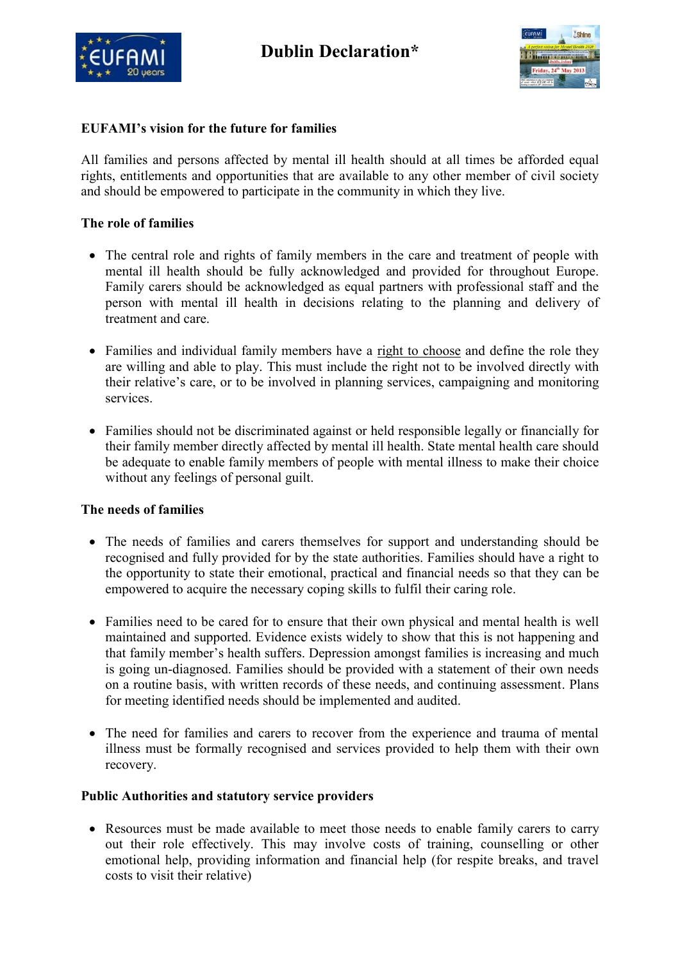



## **EUFAMI's vision for the future for families**

All families and persons affected by mental ill health should at all times be afforded equal rights, entitlements and opportunities that are available to any other member of civil society and should be empowered to participate in the community in which they live.

## **The role of families**

- The central role and rights of family members in the care and treatment of people with mental ill health should be fully acknowledged and provided for throughout Europe. Family carers should be acknowledged as equal partners with professional staff and the person with mental ill health in decisions relating to the planning and delivery of treatment and care.
- Families and individual family members have a right to choose and define the role they are willing and able to play. This must include the right not to be involved directly with their relative's care, or to be involved in planning services, campaigning and monitoring services.
- Families should not be discriminated against or held responsible legally or financially for their family member directly affected by mental ill health. State mental health care should be adequate to enable family members of people with mental illness to make their choice without any feelings of personal guilt.

## **The needs of families**

- The needs of families and carers themselves for support and understanding should be recognised and fully provided for by the state authorities. Families should have a right to the opportunity to state their emotional, practical and financial needs so that they can be empowered to acquire the necessary coping skills to fulfil their caring role.
- Families need to be cared for to ensure that their own physical and mental health is well maintained and supported. Evidence exists widely to show that this is not happening and that family member's health suffers. Depression amongst families is increasing and much is going un-diagnosed. Families should be provided with a statement of their own needs on a routine basis, with written records of these needs, and continuing assessment. Plans for meeting identified needs should be implemented and audited.
- The need for families and carers to recover from the experience and trauma of mental illness must be formally recognised and services provided to help them with their own recovery.

## **Public Authorities and statutory service providers**

• Resources must be made available to meet those needs to enable family carers to carry out their role effectively. This may involve costs of training, counselling or other emotional help, providing information and financial help (for respite breaks, and travel costs to visit their relative)